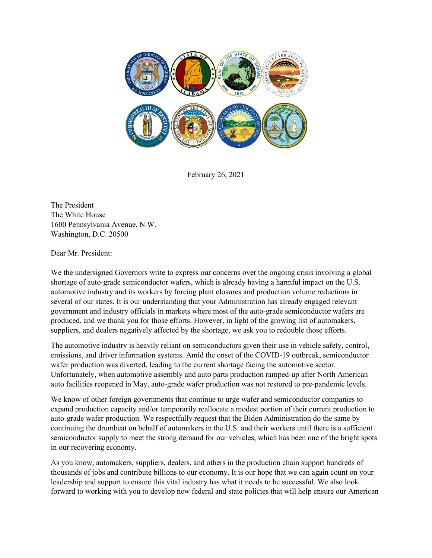

February 26, 2021

The President The White House 1600 Pennsylvania Avenue, N.W. Washington, D.C. 20500

Dear Mr. President:

We the undersigned Governors write to express our concerns over the ongoing crisis involving a global shortage of auto-grade semiconductor wafers, which is already having a harmful impact on the U.S. automotive industry and its workers by forcing plant closures and production volume reductions in several of our states. It is our understanding that your Administration has already engaged relevant government and industry officials in markets where most of the auto-grade semiconductor wafers are produced, and we thank you for those efforts. However, in light of the growing list of automakers, suppliers, and dealers negatively affected by the shortage, we ask you to redouble those efforts.

The automotive industry is heavily reliant on semiconductors given their use in vehicle safety, control, emissions, and driver information systems. Amid the onset of the COVID-19 outbreak, semiconductor wafer production was diverted, leading to the current shortage facing the automotive sector. Unfortunately, when automotive assembly and auto parts production ramped-up after North American auto facilities reopened in May, auto-grade wafer production was not restored to pre-pandemic levels.

We know of other foreign governments that continue to urge wafer and semiconductor companies to expand production capacity and/or temporarily reallocate a modest portion of their current production to auto-grade wafer production. We respectfully request that the Biden Administration do the same by continuing the drumbeat on behalf of automakers in the U.S. and their workers until there is a sufficient semiconductor supply to meet the strong demand for our vehicles, which has been one of the bright spots in our recovering economy.

As you know, automakers, suppliers, dealers, and others in the production chain support hundreds of thousands of jobs and contribute billions to our economy. It is our hope that we can again count on your leadership and support to ensure this vital industry has what it needs to be successful. We also look forward to working with you to develop new federal and state policies that will help ensure our American